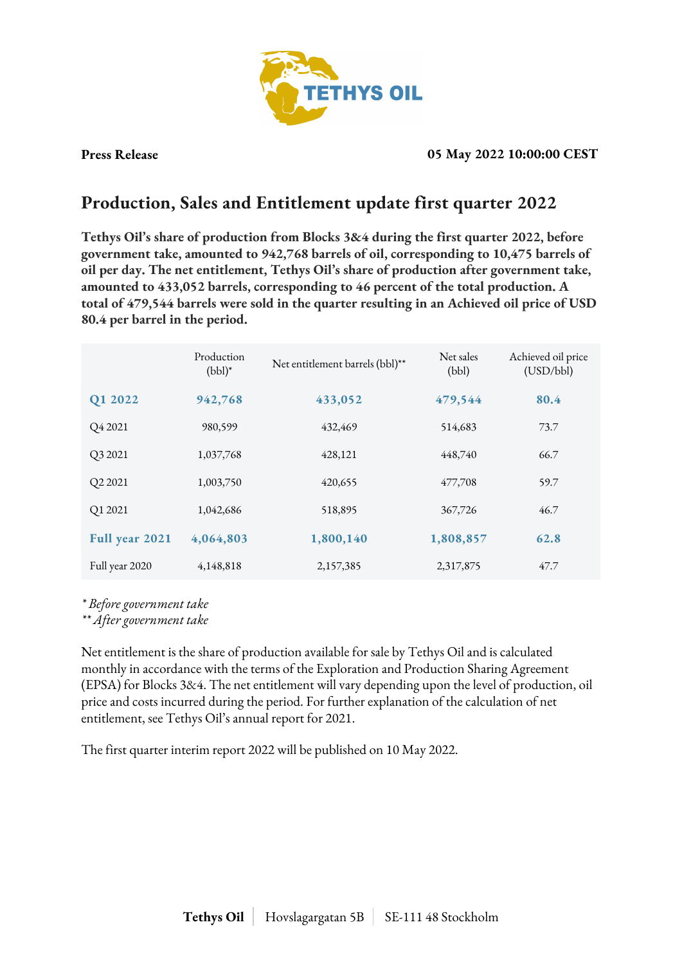

**Press Release 05 May 2022 10:00:00 CEST**

## **Production, Sales and Entitlement update first quarter 2022**

**Tethys Oil's share of production from Blocks 3&4 during the first quarter 2022, before government take, amounted to 942,768 barrels of oil, corresponding to 10,475 barrels of oil per day. The net entitlement, Tethys Oil's share of production after government take, amounted to 433,052 barrels, corresponding to 46 percent of the total production. A total of 479,544 barrels were sold in the quarter resulting in an Achieved oil price of USD 80.4 per barrel in the period.**

|                | Production<br>$(bbl)^*$ | Net entitlement barrels (bbl)** | Net sales<br>(bbl) | Achieved oil price<br>(USD/bbl) |
|----------------|-------------------------|---------------------------------|--------------------|---------------------------------|
| Q1 2022        | 942,768                 | 433,052                         | 479,544            | 80.4                            |
| Q4 2021        | 980,599                 | 432,469                         | 514,683            | 73.7                            |
| Q3 2021        | 1,037,768               | 428,121                         | 448,740            | 66.7                            |
| Q2 2021        | 1,003,750               | 420,655                         | 477,708            | 59.7                            |
| Q1 2021        | 1,042,686               | 518,895                         | 367,726            | 46.7                            |
| Full year 2021 | 4,064,803               | 1,800,140                       | 1,808,857          | 62.8                            |
| Full year 2020 | 4,148,818               | 2,157,385                       | 2,317,875          | 47.7                            |

*\* Before government take*

*\*\* After government take*

Net entitlement is the share of production available for sale by Tethys Oil and is calculated monthly in accordance with the terms of the Exploration and Production Sharing Agreement (EPSA) for Blocks 3&4. The net entitlement will vary depending upon the level of production, oil price and costs incurred during the period. For further explanation of the calculation of net entitlement, see Tethys Oil's annual report for 2021.

The first quarter interim report 2022 will be published on 10 May 2022.